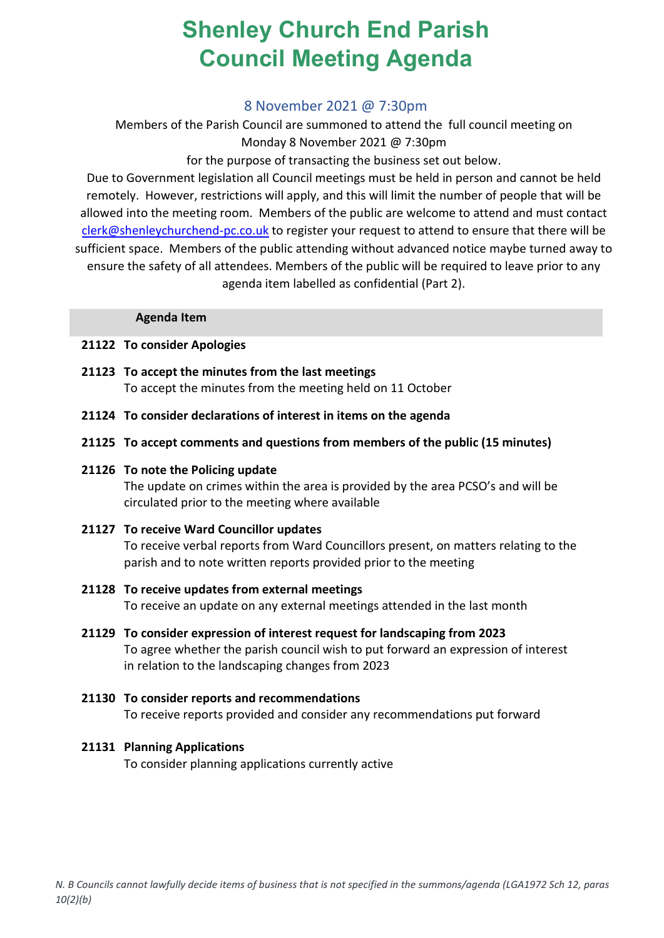# **Shenley Church End Parish Council Meeting Agenda**

# 8 November 2021 @ 7:30pm

Members of the Parish Council are summoned to attend the full council meeting on Monday 8 November 2021 @ 7:30pm

for the purpose of transacting the business set out below.

Due to Government legislation all Council meetings must be held in person and cannot be held remotely. However, restrictions will apply, and this will limit the number of people that will be allowed into the meeting room. Members of the public are welcome to attend and must contact [clerk@shenleychurchend-pc.co.uk](mailto:clerk@shenleychurchend-pc.co.uk) to register your request to attend to ensure that there will be sufficient space. Members of the public attending without advanced notice maybe turned away to ensure the safety of all attendees. Members of the public will be required to leave prior to any

agenda item labelled as confidential (Part 2).

### **Agenda Item**

## **21122 To consider Apologies**

- **21123 To accept the minutes from the last meetings** To accept the minutes from the meeting held on 11 October
- **21124 To consider declarations of interest in items on the agenda**
- **21125 To accept comments and questions from members of the public (15 minutes)**
- **21126 To note the Policing update**

The update on crimes within the area is provided by the area PCSO's and will be circulated prior to the meeting where available

- **21127 To receive Ward Councillor updates** To receive verbal reports from Ward Councillors present, on matters relating to the parish and to note written reports provided prior to the meeting
- **21128 To receive updates from external meetings** To receive an update on any external meetings attended in the last month
- **21129 To consider expression of interest request for landscaping from 2023** To agree whether the parish council wish to put forward an expression of interest in relation to the landscaping changes from 2023
- **21130 To consider reports and recommendations** To receive reports provided and consider any recommendations put forward

### **21131 Planning Applications**

To consider planning applications currently active